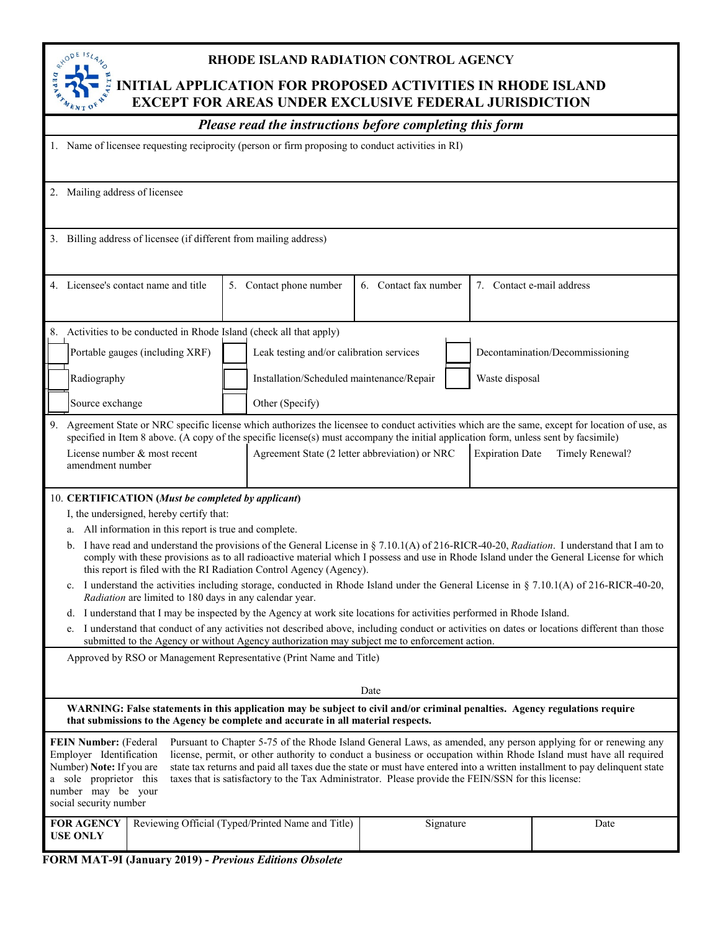

# **RHODE ISLAND RADIATION CONTROL AGENCY**

# **INITIAL APPLICATION FOR PROPOSED ACTIVITIES IN RHODE ISLAND EXCEPT FOR AREAS UNDER EXCLUSIVE FEDERAL JURISDICTION**

|                                                                                                                                                        |                                                                      | Please read the instructions before completing this form                                                                                                                                                         |                       |                        |                                                                                                                                                                                                                                                                                                                                                                    |
|--------------------------------------------------------------------------------------------------------------------------------------------------------|----------------------------------------------------------------------|------------------------------------------------------------------------------------------------------------------------------------------------------------------------------------------------------------------|-----------------------|------------------------|--------------------------------------------------------------------------------------------------------------------------------------------------------------------------------------------------------------------------------------------------------------------------------------------------------------------------------------------------------------------|
|                                                                                                                                                        |                                                                      | 1. Name of licensee requesting reciprocity (person or firm proposing to conduct activities in RI)                                                                                                                |                       |                        |                                                                                                                                                                                                                                                                                                                                                                    |
|                                                                                                                                                        | 2. Mailing address of licensee                                       |                                                                                                                                                                                                                  |                       |                        |                                                                                                                                                                                                                                                                                                                                                                    |
|                                                                                                                                                        | 3. Billing address of licensee (if different from mailing address)   |                                                                                                                                                                                                                  |                       |                        |                                                                                                                                                                                                                                                                                                                                                                    |
|                                                                                                                                                        | 4. Licensee's contact name and title                                 | 5. Contact phone number                                                                                                                                                                                          | 6. Contact fax number |                        | 7. Contact e-mail address                                                                                                                                                                                                                                                                                                                                          |
|                                                                                                                                                        | 8. Activities to be conducted in Rhode Island (check all that apply) |                                                                                                                                                                                                                  |                       |                        |                                                                                                                                                                                                                                                                                                                                                                    |
|                                                                                                                                                        | Portable gauges (including XRF)                                      | Leak testing and/or calibration services                                                                                                                                                                         |                       |                        | Decontamination/Decommissioning                                                                                                                                                                                                                                                                                                                                    |
| Radiography                                                                                                                                            |                                                                      | Installation/Scheduled maintenance/Repair                                                                                                                                                                        |                       | Waste disposal         |                                                                                                                                                                                                                                                                                                                                                                    |
| Source exchange                                                                                                                                        |                                                                      | Other (Specify)                                                                                                                                                                                                  |                       |                        |                                                                                                                                                                                                                                                                                                                                                                    |
| 9.                                                                                                                                                     | License number & most recent<br>amendment number                     | specified in Item 8 above. (A copy of the specific license(s) must accompany the initial application form, unless sent by facsimile)<br>Agreement State (2 letter abbreviation) or NRC                           |                       | <b>Expiration Date</b> | Agreement State or NRC specific license which authorizes the licensee to conduct activities which are the same, except for location of use, as<br>Timely Renewal?                                                                                                                                                                                                  |
|                                                                                                                                                        | 10. CERTIFICATION (Must be completed by applicant)                   |                                                                                                                                                                                                                  |                       |                        |                                                                                                                                                                                                                                                                                                                                                                    |
|                                                                                                                                                        | I, the undersigned, hereby certify that:                             |                                                                                                                                                                                                                  |                       |                        |                                                                                                                                                                                                                                                                                                                                                                    |
| a.                                                                                                                                                     | All information in this report is true and complete.                 |                                                                                                                                                                                                                  |                       |                        |                                                                                                                                                                                                                                                                                                                                                                    |
| b.                                                                                                                                                     |                                                                      | this report is filed with the RI Radiation Control Agency (Agency).                                                                                                                                              |                       |                        | I have read and understand the provisions of the General License in § 7.10.1(A) of 216-RICR-40-20, Radiation. I understand that I am to<br>comply with these provisions as to all radioactive material which I possess and use in Rhode Island under the General License for which                                                                                 |
|                                                                                                                                                        | Radiation are limited to 180 days in any calendar year.              |                                                                                                                                                                                                                  |                       |                        | c. I understand the activities including storage, conducted in Rhode Island under the General License in § 7.10.1(A) of 216-RICR-40-20,                                                                                                                                                                                                                            |
|                                                                                                                                                        |                                                                      | d. I understand that I may be inspected by the Agency at work site locations for activities performed in Rhode Island.                                                                                           |                       |                        |                                                                                                                                                                                                                                                                                                                                                                    |
|                                                                                                                                                        |                                                                      | submitted to the Agency or without Agency authorization may subject me to enforcement action.                                                                                                                    |                       |                        | e. I understand that conduct of any activities not described above, including conduct or activities on dates or locations different than those                                                                                                                                                                                                                     |
|                                                                                                                                                        |                                                                      | Approved by RSO or Management Representative (Print Name and Title)                                                                                                                                              |                       |                        |                                                                                                                                                                                                                                                                                                                                                                    |
|                                                                                                                                                        |                                                                      |                                                                                                                                                                                                                  | Date                  |                        |                                                                                                                                                                                                                                                                                                                                                                    |
|                                                                                                                                                        |                                                                      | WARNING: False statements in this application may be subject to civil and/or criminal penalties. Agency regulations require<br>that submissions to the Agency be complete and accurate in all material respects. |                       |                        |                                                                                                                                                                                                                                                                                                                                                                    |
| FEIN Number: (Federal<br>Employer Identification<br>Number) Note: If you are<br>a sole proprietor this<br>number may be your<br>social security number |                                                                      | taxes that is satisfactory to the Tax Administrator. Please provide the FEIN/SSN for this license:                                                                                                               |                       |                        | Pursuant to Chapter 5-75 of the Rhode Island General Laws, as amended, any person applying for or renewing any<br>license, permit, or other authority to conduct a business or occupation within Rhode Island must have all required<br>state tax returns and paid all taxes due the state or must have entered into a written installment to pay delinquent state |
| <b>FOR AGENCY</b><br><b>USE ONLY</b>                                                                                                                   |                                                                      | Reviewing Official (Typed/Printed Name and Title)                                                                                                                                                                |                       | Signature              | Date                                                                                                                                                                                                                                                                                                                                                               |

| FORM MAT-9I (January 2019) - Previous Editions Obsolete |
|---------------------------------------------------------|
|---------------------------------------------------------|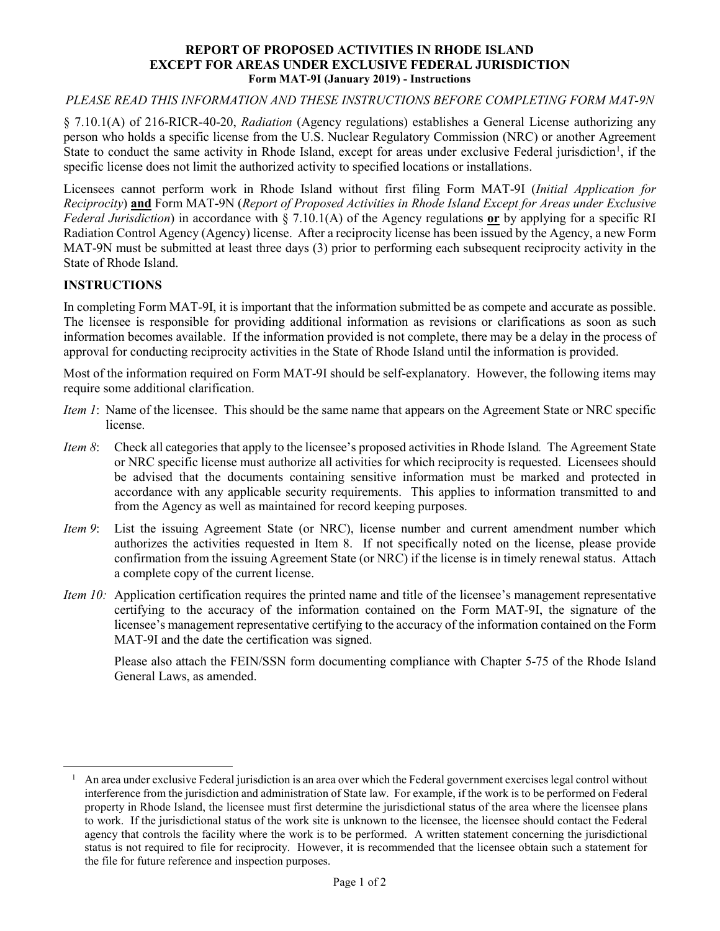#### **REPORT OF PROPOSED ACTIVITIES IN RHODE ISLAND EXCEPT FOR AREAS UNDER EXCLUSIVE FEDERAL JURISDICTION Form MAT-9I (January 2019) - Instructions**

### *PLEASE READ THIS INFORMATION AND THESE INSTRUCTIONS BEFORE COMPLETING FORM MAT-9N*

§ 7.10.1(A) of 216-RICR-40-20, *Radiation* (Agency regulations) establishes a General License authorizing any person who holds a specific license from the U.S. Nuclear Regulatory Commission (NRC) or another Agreement State to conduct the same activity in Rhode Island, except for areas under exclusive Federal jurisdiction<sup>[1](#page-1-0)</sup>, if the specific license does not limit the authorized activity to specified locations or installations.

Licensees cannot perform work in Rhode Island without first filing Form MAT-9I (*Initial Application for Reciprocity*) **and** Form MAT-9N (*Report of Proposed Activities in Rhode Island Except for Areas under Exclusive Federal Jurisdiction*) in accordance with § 7.10.1(A) of the Agency regulations **or** by applying for a specific RI Radiation Control Agency (Agency) license. After a reciprocity license has been issued by the Agency, a new Form MAT-9N must be submitted at least three days (3) prior to performing each subsequent reciprocity activity in the State of Rhode Island.

## **INSTRUCTIONS**

In completing Form MAT-9I, it is important that the information submitted be as compete and accurate as possible. The licensee is responsible for providing additional information as revisions or clarifications as soon as such information becomes available. If the information provided is not complete, there may be a delay in the process of approval for conducting reciprocity activities in the State of Rhode Island until the information is provided.

Most of the information required on Form MAT-9I should be self-explanatory. However, the following items may require some additional clarification.

- *Item 1*: Name of the licensee. This should be the same name that appears on the Agreement State or NRC specific license.
- *Item 8*: Check all categories that apply to the licensee's proposed activities in Rhode Island*.* The Agreement State or NRC specific license must authorize all activities for which reciprocity is requested. Licensees should be advised that the documents containing sensitive information must be marked and protected in accordance with any applicable security requirements. This applies to information transmitted to and from the Agency as well as maintained for record keeping purposes.
- *Item 9*: List the issuing Agreement State (or NRC), license number and current amendment number which authorizes the activities requested in Item 8. If not specifically noted on the license, please provide confirmation from the issuing Agreement State (or NRC) if the license is in timely renewal status. Attach a complete copy of the current license.
- *Item 10:* Application certification requires the printed name and title of the licensee's management representative certifying to the accuracy of the information contained on the Form MAT-9I, the signature of the licensee's management representative certifying to the accuracy of the information contained on the Form MAT-9I and the date the certification was signed.

Please also attach the FEIN/SSN form documenting compliance with Chapter 5-75 of the Rhode Island General Laws, as amended.

<span id="page-1-0"></span><sup>&</sup>lt;sup>1</sup> An area under exclusive Federal jurisdiction is an area over which the Federal government exercises legal control without interference from the jurisdiction and administration of State law. For example, if the work is to be performed on Federal property in Rhode Island, the licensee must first determine the jurisdictional status of the area where the licensee plans to work. If the jurisdictional status of the work site is unknown to the licensee, the licensee should contact the Federal agency that controls the facility where the work is to be performed. A written statement concerning the jurisdictional status is not required to file for reciprocity. However, it is recommended that the licensee obtain such a statement for the file for future reference and inspection purposes.